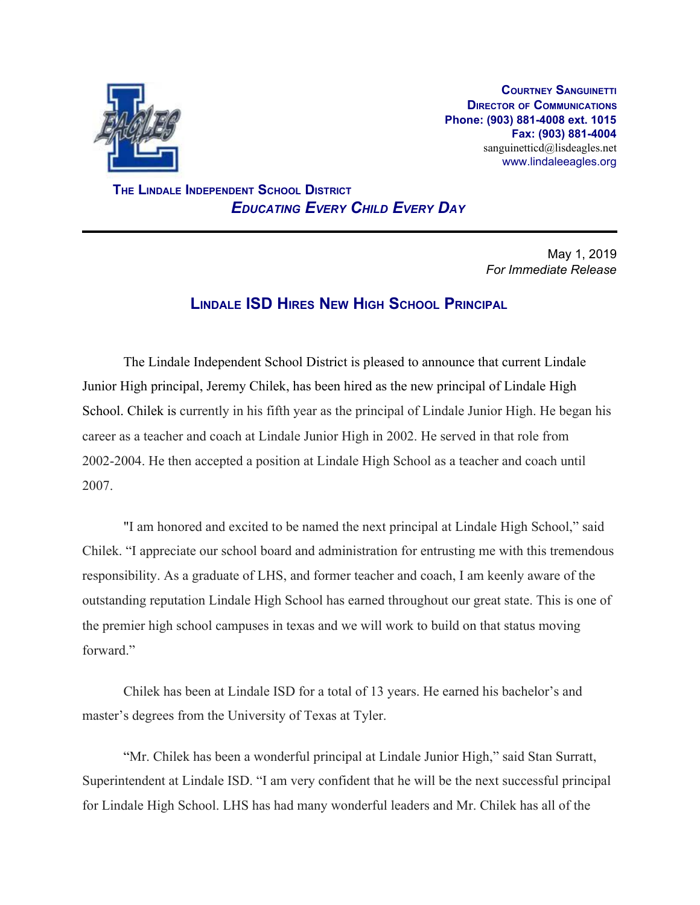

**COURTNEY SANGUINETTI DIRECTOR OF COMMUNICATIONS Phone: (903) 881-4008 ext. 1015 Fax: (903) 881-4004** sanguinetticd@lisdeagles.net www.lindaleeagles.org

 **THE LINDALE INDEPENDENT SCHOOL DISTRICT** *EDUCATING EVERY CHILD EVERY DAY*

> May 1, 2019 *For Immediate Release*

## **LINDALE ISD HIRES NEW HIGH SCHOOL PRINCIPAL**

The Lindale Independent School District is pleased to announce that current Lindale Junior High principal, Jeremy Chilek, has been hired as the new principal of Lindale High School. Chilek is currently in his fifth year as the principal of Lindale Junior High. He began his career as a teacher and coach at Lindale Junior High in 2002. He served in that role from 2002-2004. He then accepted a position at Lindale High School as a teacher and coach until 2007.

"I am honored and excited to be named the next principal at Lindale High School," said Chilek. "I appreciate our school board and administration for entrusting me with this tremendous responsibility. As a graduate of LHS, and former teacher and coach, I am keenly aware of the outstanding reputation Lindale High School has earned throughout our great state. This is one of the premier high school campuses in texas and we will work to build on that status moving forward"

Chilek has been at Lindale ISD for a total of 13 years. He earned his bachelor's and master's degrees from the University of Texas at Tyler.

"Mr. Chilek has been a wonderful principal at Lindale Junior High," said Stan Surratt, Superintendent at Lindale ISD. "I am very confident that he will be the next successful principal for Lindale High School. LHS has had many wonderful leaders and Mr. Chilek has all of the